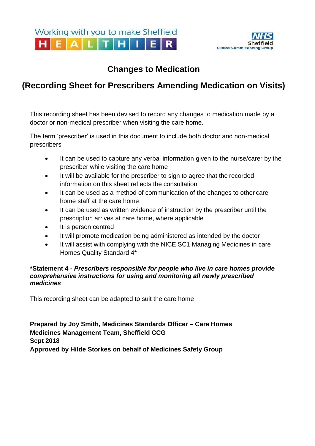

## **Changes to Medication**

# **(Recording Sheet for Prescribers Amending Medication on Visits)**

This recording sheet has been devised to record any changes to medication made by a doctor or non-medical prescriber when visiting the care home.

The term 'prescriber' is used in this document to include both doctor and non-medical prescribers

- It can be used to capture any verbal information given to the nurse/carer by the prescriber while visiting the care home
- It will be available for the prescriber to sign to agree that the recorded information on this sheet reflects the consultation
- It can be used as a method of communication of the changes to other care home staff at the care home
- It can be used as written evidence of instruction by the prescriber until the prescription arrives at care home, where applicable
- It is person centred
- It will promote medication being administered as intended by the doctor
- It will assist with complying with the NICE SC1 Managing Medicines in care Homes Quality Standard 4\*

#### **\*Statement 4 -** *Prescribers responsible for people who live in care homes provide comprehensive instructions for using and monitoring all newly prescribed medicines*

This recording sheet can be adapted to suit the care home

**Prepared by Joy Smith, Medicines Standards Officer – Care Homes Medicines Management Team, Sheffield CCG Sept 2018 Approved by Hilde Storkes on behalf of Medicines Safety Group**